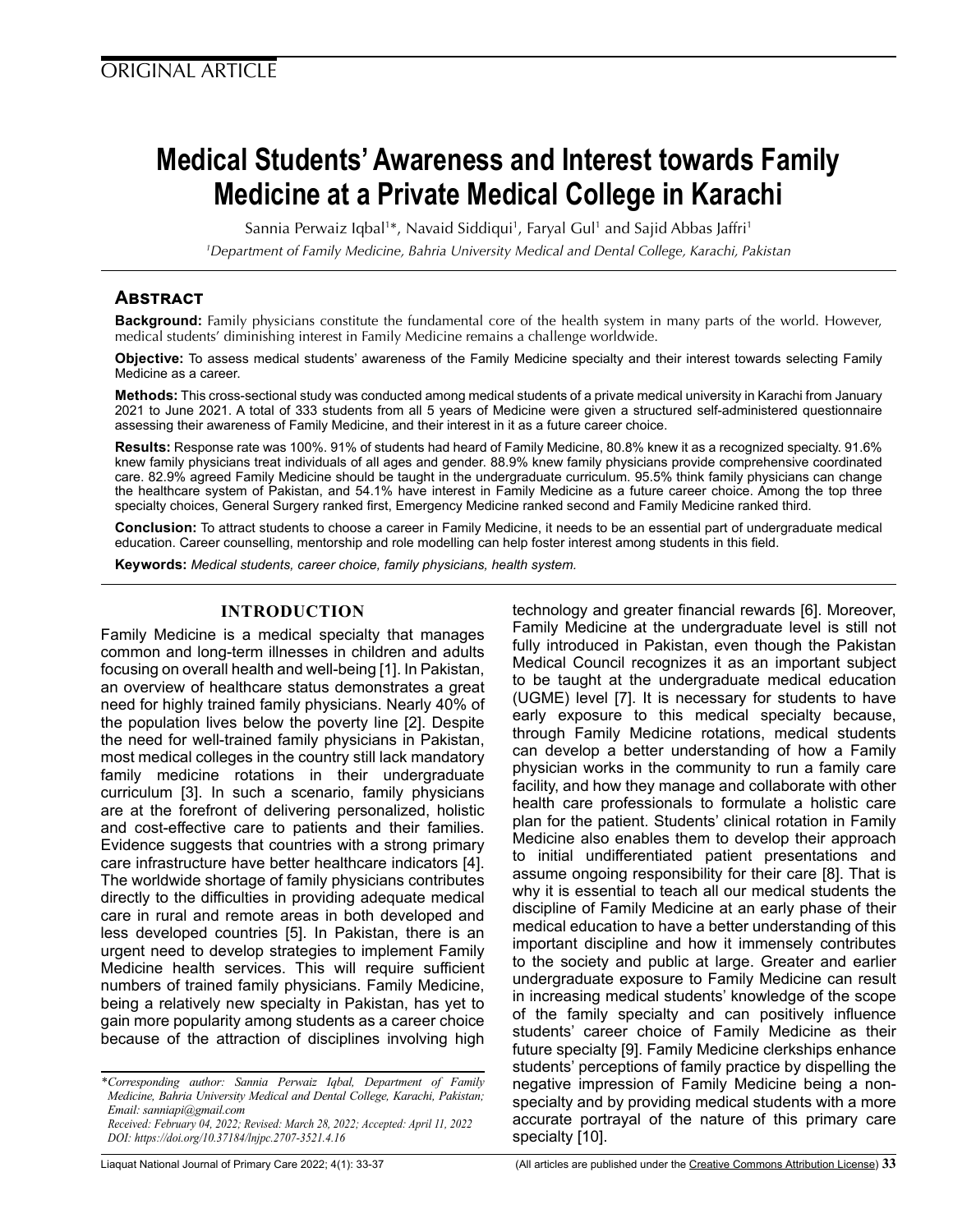# **Medical Students' Awareness and Interest towards Family Medicine at a Private Medical College in Karachi**

Sannia Perwaiz Iqbal<sup>1</sup>\*, Navaid Siddiqui<sup>1</sup>, Faryal Gul<sup>1</sup> and Sajid Abbas Jaffri<sup>1</sup>

*1 Department of Family Medicine, Bahria University Medical and Dental College, Karachi, Pakistan*

# **Abstract**

**Background:** Family physicians constitute the fundamental core of the health system in many parts of the world. However, medical students' diminishing interest in Family Medicine remains a challenge worldwide.

**Objective:** To assess medical students' awareness of the Family Medicine specialty and their interest towards selecting Family Medicine as a career.

**Methods:** This cross-sectional study was conducted among medical students of a private medical university in Karachi from January 2021 to June 2021. A total of 333 students from all 5 years of Medicine were given a structured self-administered questionnaire assessing their awareness of Family Medicine, and their interest in it as a future career choice.

**Results:** Response rate was 100%. 91% of students had heard of Family Medicine, 80.8% knew it as a recognized specialty. 91.6% knew family physicians treat individuals of all ages and gender. 88.9% knew family physicians provide comprehensive coordinated care. 82.9% agreed Family Medicine should be taught in the undergraduate curriculum. 95.5% think family physicians can change the healthcare system of Pakistan, and 54.1% have interest in Family Medicine as a future career choice. Among the top three specialty choices, General Surgery ranked first, Emergency Medicine ranked second and Family Medicine ranked third.

**Conclusion:** To attract students to choose a career in Family Medicine, it needs to be an essential part of undergraduate medical education. Career counselling, mentorship and role modelling can help foster interest among students in this field.

**Keywords:** *Medical students, career choice, family physicians, health system.*

# **INTRODUCTION**

Family Medicine is a medical specialty that manages common and long-term illnesses in children and adults focusing on overall health and well-being [1]. In Pakistan, an overview of healthcare status demonstrates a great need for highly trained family physicians. Nearly 40% of the population lives below the poverty line [2]. Despite the need for well-trained family physicians in Pakistan, most medical colleges in the country still lack mandatory family medicine rotations in their undergraduate curriculum [3]. In such a scenario, family physicians are at the forefront of delivering personalized, holistic and cost-effective care to patients and their families. Evidence suggests that countries with a strong primary care infrastructure have better healthcare indicators [4]. The worldwide shortage of family physicians contributes directly to the difficulties in providing adequate medical care in rural and remote areas in both developed and less developed countries [5]. In Pakistan, there is an urgent need to develop strategies to implement Family Medicine health services. This will require sufficient numbers of trained family physicians. Family Medicine, being a relatively new specialty in Pakistan, has yet to gain more popularity among students as a career choice because of the attraction of disciplines involving high

*\*Corresponding author: Sannia Perwaiz Iqbal, Department of Family Medicine, Bahria University Medical and Dental College, Karachi, Pakistan; Email: sanniapi@gmail.com Received: February 04, 2022; Revised: March 28, 2022; Accepted: April 11, 2022*

*DOI: https://doi.org/10.37184/lnjpc.2707-3521.4.16*

technology and greater financial rewards [6]. Moreover, Family Medicine at the undergraduate level is still not fully introduced in Pakistan, even though the Pakistan Medical Council recognizes it as an important subject to be taught at the undergraduate medical education (UGME) level [7]. It is necessary for students to have early exposure to this medical specialty because, through Family Medicine rotations, medical students can develop a better understanding of how a Family physician works in the community to run a family care facility, and how they manage and collaborate with other health care professionals to formulate a holistic care plan for the patient. Students' clinical rotation in Family Medicine also enables them to develop their approach to initial undifferentiated patient presentations and assume ongoing responsibility for their care [8]. That is why it is essential to teach all our medical students the discipline of Family Medicine at an early phase of their medical education to have a better understanding of this important discipline and how it immensely contributes to the society and public at large. Greater and earlier undergraduate exposure to Family Medicine can result in increasing medical students' knowledge of the scope of the family specialty and can positively influence students' career choice of Family Medicine as their future specialty [9]. Family Medicine clerkships enhance students' perceptions of family practice by dispelling the negative impression of Family Medicine being a nonspecialty and by providing medical students with a more accurate portrayal of the nature of this primary care specialty [10].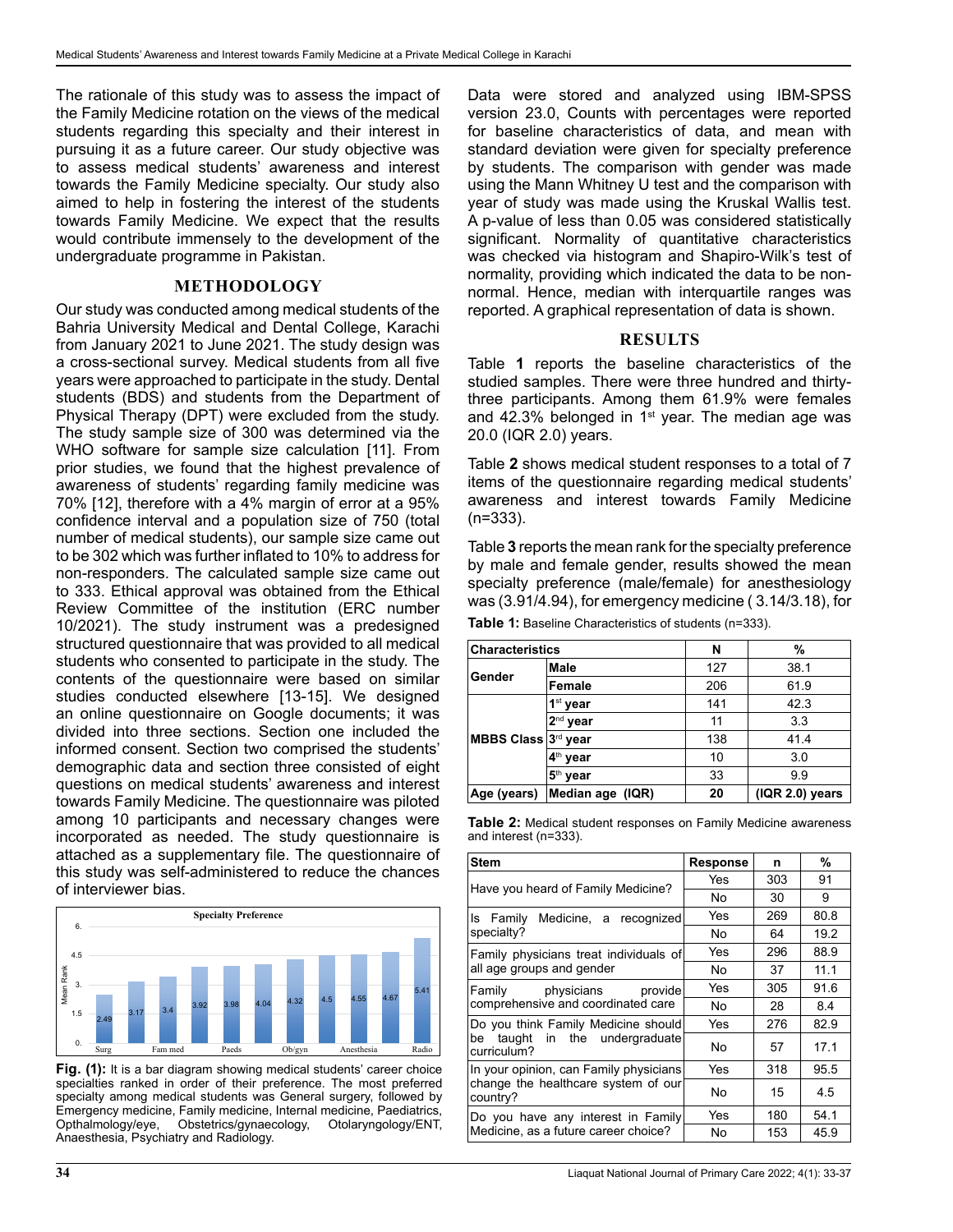The rationale of this study was to assess the impact of the Family Medicine rotation on the views of the medical students regarding this specialty and their interest in pursuing it as a future career. Our study objective was to assess medical students' awareness and interest towards the Family Medicine specialty. Our study also aimed to help in fostering the interest of the students towards Family Medicine. We expect that the results would contribute immensely to the development of the undergraduate programme in Pakistan.

## **METHODOLOGY**

Our study was conducted among medical students of the Bahria University Medical and Dental College, Karachi from January 2021 to June 2021. The study design was a cross-sectional survey. Medical students from all five years were approached to participate in the study. Dental students (BDS) and students from the Department of Physical Therapy (DPT) were excluded from the study. The study sample size of 300 was determined via the WHO software for sample size calculation [11]. From prior studies, we found that the highest prevalence of awareness of students' regarding family medicine was 70% [12], therefore with a 4% margin of error at a 95% confidence interval and a population size of 750 (total number of medical students), our sample size came out to be 302 which was further inflated to 10% to address for non-responders. The calculated sample size came out to 333. Ethical approval was obtained from the Ethical Review Committee of the institution (ERC number 10/2021). The study instrument was a predesigned structured questionnaire that was provided to all medical students who consented to participate in the study. The contents of the questionnaire were based on similar studies conducted elsewhere [13-15]. We designed an online questionnaire on Google documents; it was divided into three sections. Section one included the informed consent. Section two comprised the students' demographic data and section three consisted of eight questions on medical students' awareness and interest towards Family Medicine. The questionnaire was piloted among 10 participants and necessary changes were incorporated as needed. The study questionnaire is attached as a supplementary file. The questionnaire of this study was self-administered to reduce the chances of interviewer bias.



**Fig. (1):** It is a bar diagram showing medical students' career choice specialties ranked in order of their preference. The most preferred specialty among medical students was General surgery, followed by Emergency medicine, Family medicine, Internal medicine, Paediatrics,<br>Opthalmology/eye, Obstetrics/gynaecology, Otolaryngology/ENT, Obstetrics/gynaecology, Anaesthesia, Psychiatry and Radiology.

Data were stored and analyzed using IBM-SPSS version 23.0, Counts with percentages were reported for baseline characteristics of data, and mean with standard deviation were given for specialty preference by students. The comparison with gender was made using the Mann Whitney U test and the comparison with year of study was made using the Kruskal Wallis test. A p-value of less than 0.05 was considered statistically significant. Normality of quantitative characteristics was checked via histogram and Shapiro-Wilk's test of normality, providing which indicated the data to be nonnormal. Hence, median with interquartile ranges was reported. A graphical representation of data is shown.

# **RESULTS**

Table **1** reports the baseline characteristics of the studied samples. There were three hundred and thirtythree participants. Among them 61.9% were females and 42.3% belonged in  $1<sup>st</sup>$  year. The median age was 20.0 (IQR 2.0) years.

Table **2** shows medical student responses to a total of 7 items of the questionnaire regarding medical students' awareness and interest towards Family Medicine (n=333).

Table **3** reports the mean rank for the specialty preference by male and female gender, results showed the mean specialty preference (male/female) for anesthesiology was (3.91/4.94), for emergency medicine ( 3.14/3.18), for

**Table 1:** Baseline Characteristics of students (n=333).

| <b>Characteristics</b>        |                      | N   | %                  |  |  |
|-------------------------------|----------------------|-----|--------------------|--|--|
| Gender<br>MBBS Class 3rd year | Male                 | 127 | 38.1               |  |  |
|                               | Female               | 206 | 61.9               |  |  |
|                               | 1 <sup>st</sup> year | 141 | 42.3               |  |  |
|                               | 2 <sup>nd</sup> year | 11  | 3.3                |  |  |
|                               |                      | 138 | 41.4               |  |  |
|                               | 4 <sup>th</sup> year | 10  | 3.0                |  |  |
|                               | 5 <sup>th</sup> year | 33  | 9.9                |  |  |
| Age (years)                   | Median age (IQR)     | 20  | $( IQR 2.0)$ years |  |  |

**Table 2:** Medical student responses on Family Medicine awareness and interest (n=333).

| <b>Stem</b>                                      | <b>Response</b> | n   | %    |  |
|--------------------------------------------------|-----------------|-----|------|--|
|                                                  | Yes             | 303 | 91   |  |
| Have you heard of Family Medicine?               | No              | 30  | 9    |  |
| Medicine, a recognized<br>Is Family              | Yes             | 269 | 80.8 |  |
| specialty?                                       | No              | 64  | 19.2 |  |
| Family physicians treat individuals of           | Yes             | 296 | 88.9 |  |
| all age groups and gender                        | No              | 37  | 11.1 |  |
| Family physicians provide                        | Yes             | 305 | 91.6 |  |
| comprehensive and coordinated care               | No              | 28  | 8.4  |  |
| Do you think Family Medicine should              | Yes             | 276 | 82.9 |  |
| taught in the undergraduate<br>be<br>curriculum? | No              | 57  | 17.1 |  |
| In your opinion, can Family physicians           | Yes             | 318 | 95.5 |  |
| change the healthcare system of our<br>country?  | No              | 15  | 4.5  |  |
| Do you have any interest in Family               | Yes             | 180 | 54.1 |  |
| Medicine, as a future career choice?             | No              | 153 | 45.9 |  |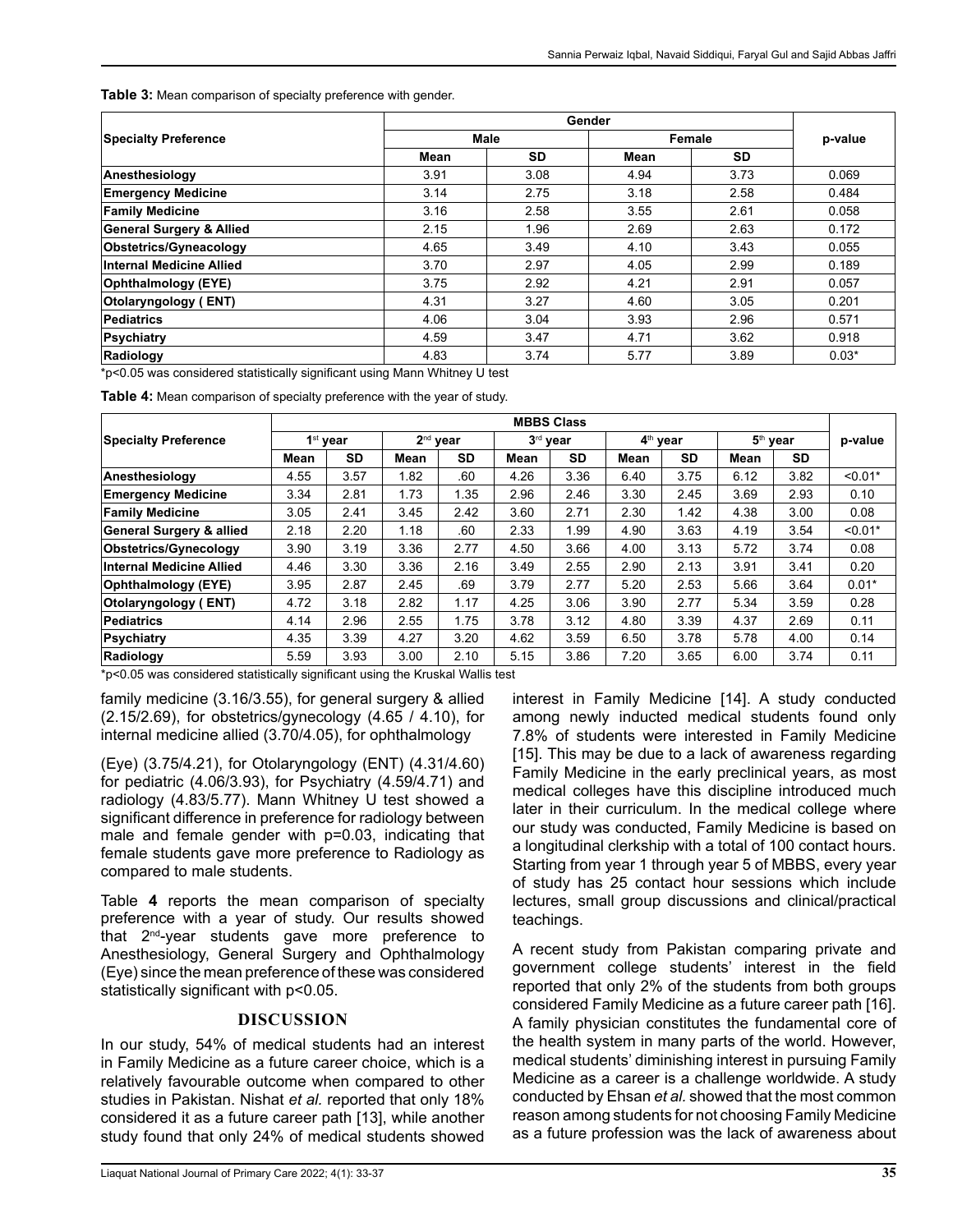**Table 3:** Mean comparison of specialty preference with gender.

|                                     | Gender |             |        |           |         |  |  |
|-------------------------------------|--------|-------------|--------|-----------|---------|--|--|
| <b>Specialty Preference</b>         |        | <b>Male</b> | Female | p-value   |         |  |  |
|                                     | Mean   | <b>SD</b>   | Mean   | <b>SD</b> |         |  |  |
| Anesthesiology                      | 3.91   | 3.08        | 4.94   | 3.73      | 0.069   |  |  |
| <b>Emergency Medicine</b>           | 3.14   | 2.75        | 3.18   | 2.58      | 0.484   |  |  |
| <b>Family Medicine</b>              | 3.16   | 2.58        | 3.55   | 2.61      | 0.058   |  |  |
| <b>General Surgery &amp; Allied</b> | 2.15   | 1.96        | 2.69   | 2.63      | 0.172   |  |  |
| Obstetrics/Gyneacology              | 4.65   | 3.49        | 4.10   | 3.43      | 0.055   |  |  |
| Internal Medicine Allied            | 3.70   | 2.97        | 4.05   | 2.99      | 0.189   |  |  |
| Ophthalmology (EYE)                 | 3.75   | 2.92        | 4.21   | 2.91      | 0.057   |  |  |
| <b>Otolaryngology</b> (ENT)         | 4.31   | 3.27        | 4.60   | 3.05      | 0.201   |  |  |
| Pediatrics                          | 4.06   | 3.04        | 3.93   | 2.96      | 0.571   |  |  |
| Psychiatry                          | 4.59   | 3.47        | 4.71   | 3.62      | 0.918   |  |  |
| Radiology                           | 4.83   | 3.74        | 5.77   | 3.89      | $0.03*$ |  |  |

\*p<0.05 was considered statistically significant using Mann Whitney U test

**Table 4:** Mean comparison of specialty preference with the year of study.

|                             | <b>MBBS Class</b>    |           |            |           |          |           |                      |      |            |           |           |
|-----------------------------|----------------------|-----------|------------|-----------|----------|-----------|----------------------|------|------------|-----------|-----------|
| <b>Specialty Preference</b> | 1 <sup>st</sup> year |           | $2nd$ year |           | 3rd year |           | 4 <sup>th</sup> year |      | $5th$ year |           | p-value   |
|                             | Mean                 | <b>SD</b> | Mean       | <b>SD</b> | Mean     | <b>SD</b> | Mean                 | SD   | Mean       | <b>SD</b> |           |
| Anesthesiology              | 4.55                 | 3.57      | 1.82       | .60       | 4.26     | 3.36      | 6.40                 | 3.75 | 6.12       | 3.82      | $< 0.01*$ |
| <b>Emergency Medicine</b>   | 3.34                 | 2.81      | 1.73       | 1.35      | 2.96     | 2.46      | 3.30                 | 2.45 | 3.69       | 2.93      | 0.10      |
| <b>Family Medicine</b>      | 3.05                 | 2.41      | 3.45       | 2.42      | 3.60     | 2.71      | 2.30                 | 1.42 | 4.38       | 3.00      | 0.08      |
| General Surgery & allied    | 2.18                 | 2.20      | 1.18       | .60       | 2.33     | 1.99      | 4.90                 | 3.63 | 4.19       | 3.54      | $< 0.01*$ |
| Obstetrics/Gynecology       | 3.90                 | 3.19      | 3.36       | 2.77      | 4.50     | 3.66      | 4.00                 | 3.13 | 5.72       | 3.74      | 0.08      |
| Internal Medicine Allied    | 4.46                 | 3.30      | 3.36       | 2.16      | 3.49     | 2.55      | 2.90                 | 2.13 | 3.91       | 3.41      | 0.20      |
| Ophthalmology (EYE)         | 3.95                 | 2.87      | 2.45       | .69       | 3.79     | 2.77      | 5.20                 | 2.53 | 5.66       | 3.64      | $0.01*$   |
| <b>Otolaryngology (ENT)</b> | 4.72                 | 3.18      | 2.82       | 1.17      | 4.25     | 3.06      | 3.90                 | 2.77 | 5.34       | 3.59      | 0.28      |
| Pediatrics                  | 4.14                 | 2.96      | 2.55       | 1.75      | 3.78     | 3.12      | 4.80                 | 3.39 | 4.37       | 2.69      | 0.11      |
| Psychiatry                  | 4.35                 | 3.39      | 4.27       | 3.20      | 4.62     | 3.59      | 6.50                 | 3.78 | 5.78       | 4.00      | 0.14      |
| Radiology                   | 5.59                 | 3.93      | 3.00       | 2.10      | 5.15     | 3.86      | 7.20                 | 3.65 | 6.00       | 3.74      | 0.11      |

\*p<0.05 was considered statistically significant using the Kruskal Wallis test

family medicine (3.16/3.55), for general surgery & allied (2.15/2.69), for obstetrics/gynecology (4.65 / 4.10), for internal medicine allied (3.70/4.05), for ophthalmology

(Eye) (3.75/4.21), for Otolaryngology (ENT) (4.31/4.60) for pediatric (4.06/3.93), for Psychiatry (4.59/4.71) and radiology (4.83/5.77). Mann Whitney U test showed a significant difference in preference for radiology between male and female gender with p=0.03, indicating that female students gave more preference to Radiology as compared to male students.

Table **4** reports the mean comparison of specialty preference with a year of study. Our results showed that 2nd-year students gave more preference to Anesthesiology, General Surgery and Ophthalmology (Eye) since the mean preference of these was considered statistically significant with p<0.05.

# **DISCUSSION**

In our study, 54% of medical students had an interest in Family Medicine as a future career choice, which is a relatively favourable outcome when compared to other studies in Pakistan. Nishat *et al.* reported that only 18% considered it as a future career path [13], while another study found that only 24% of medical students showed

Liaquat National Journal of Primary Care 2022; 4(1): 33-37 **35**

interest in Family Medicine [14]. A study conducted among newly inducted medical students found only 7.8% of students were interested in Family Medicine [15]. This may be due to a lack of awareness regarding Family Medicine in the early preclinical years, as most medical colleges have this discipline introduced much later in their curriculum. In the medical college where our study was conducted, Family Medicine is based on a longitudinal clerkship with a total of 100 contact hours. Starting from year 1 through year 5 of MBBS, every year of study has 25 contact hour sessions which include lectures, small group discussions and clinical/practical teachings.

A recent study from Pakistan comparing private and government college students' interest in the field reported that only 2% of the students from both groups considered Family Medicine as a future career path [16]. A family physician constitutes the fundamental core of the health system in many parts of the world. However, medical students' diminishing interest in pursuing Family Medicine as a career is a challenge worldwide. A study conducted by Ehsan *et al.* showed that the most common reason among students for not choosing Family Medicine as a future profession was the lack of awareness about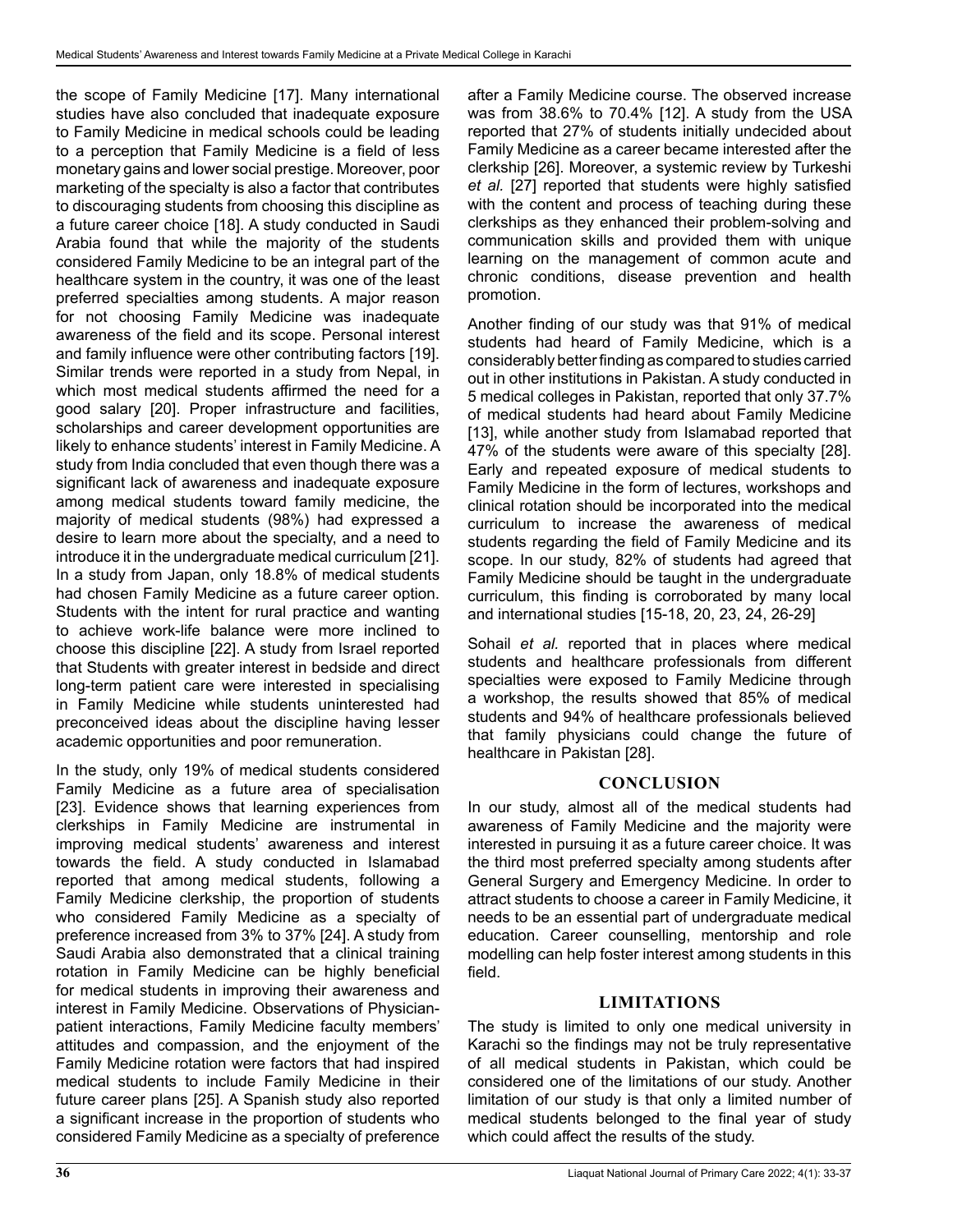the scope of Family Medicine [17]. Many international studies have also concluded that inadequate exposure to Family Medicine in medical schools could be leading to a perception that Family Medicine is a field of less monetary gains and lower social prestige. Moreover, poor marketing of the specialty is also a factor that contributes to discouraging students from choosing this discipline as a future career choice [18]. A study conducted in Saudi Arabia found that while the majority of the students considered Family Medicine to be an integral part of the healthcare system in the country, it was one of the least preferred specialties among students. A major reason for not choosing Family Medicine was inadequate awareness of the field and its scope. Personal interest and family influence were other contributing factors [19]. Similar trends were reported in a study from Nepal, in which most medical students affirmed the need for a good salary [20]. Proper infrastructure and facilities, scholarships and career development opportunities are likely to enhance students' interest in Family Medicine. A study from India concluded that even though there was a significant lack of awareness and inadequate exposure among medical students toward family medicine, the majority of medical students (98%) had expressed a desire to learn more about the specialty, and a need to introduce it in the undergraduate medical curriculum [21]. In a study from Japan, only 18.8% of medical students had chosen Family Medicine as a future career option. Students with the intent for rural practice and wanting to achieve work-life balance were more inclined to choose this discipline [22]. A study from Israel reported that Students with greater interest in bedside and direct long-term patient care were interested in specialising in Family Medicine while students uninterested had preconceived ideas about the discipline having lesser academic opportunities and poor remuneration.

In the study, only 19% of medical students considered Family Medicine as a future area of specialisation [23]. Evidence shows that learning experiences from clerkships in Family Medicine are instrumental in improving medical students' awareness and interest towards the field. A study conducted in Islamabad reported that among medical students, following a Family Medicine clerkship, the proportion of students who considered Family Medicine as a specialty of preference increased from 3% to 37% [24]. A study from Saudi Arabia also demonstrated that a clinical training rotation in Family Medicine can be highly beneficial for medical students in improving their awareness and interest in Family Medicine. Observations of Physicianpatient interactions, Family Medicine faculty members' attitudes and compassion, and the enjoyment of the Family Medicine rotation were factors that had inspired medical students to include Family Medicine in their future career plans [25]. A Spanish study also reported a significant increase in the proportion of students who considered Family Medicine as a specialty of preference

after a Family Medicine course. The observed increase was from 38.6% to 70.4% [12]. A study from the USA reported that 27% of students initially undecided about Family Medicine as a career became interested after the clerkship [26]. Moreover, a systemic review by Turkeshi *et al.* [27] reported that students were highly satisfied with the content and process of teaching during these clerkships as they enhanced their problem-solving and communication skills and provided them with unique learning on the management of common acute and chronic conditions, disease prevention and health promotion.

Another finding of our study was that 91% of medical students had heard of Family Medicine, which is a considerably better finding as compared to studies carried out in other institutions in Pakistan. A study conducted in 5 medical colleges in Pakistan, reported that only 37.7% of medical students had heard about Family Medicine [13], while another study from Islamabad reported that 47% of the students were aware of this specialty [28]. Early and repeated exposure of medical students to Family Medicine in the form of lectures, workshops and clinical rotation should be incorporated into the medical curriculum to increase the awareness of medical students regarding the field of Family Medicine and its scope. In our study, 82% of students had agreed that Family Medicine should be taught in the undergraduate curriculum, this finding is corroborated by many local and international studies [15-18, 20, 23, 24, 26-29]

Sohail *et al.* reported that in places where medical students and healthcare professionals from different specialties were exposed to Family Medicine through a workshop, the results showed that 85% of medical students and 94% of healthcare professionals believed that family physicians could change the future of healthcare in Pakistan [28].

# **CONCLUSION**

In our study, almost all of the medical students had awareness of Family Medicine and the majority were interested in pursuing it as a future career choice. It was the third most preferred specialty among students after General Surgery and Emergency Medicine. In order to attract students to choose a career in Family Medicine, it needs to be an essential part of undergraduate medical education. Career counselling, mentorship and role modelling can help foster interest among students in this field.

# **LIMITATIONS**

The study is limited to only one medical university in Karachi so the findings may not be truly representative of all medical students in Pakistan, which could be considered one of the limitations of our study. Another limitation of our study is that only a limited number of medical students belonged to the final year of study which could affect the results of the study.